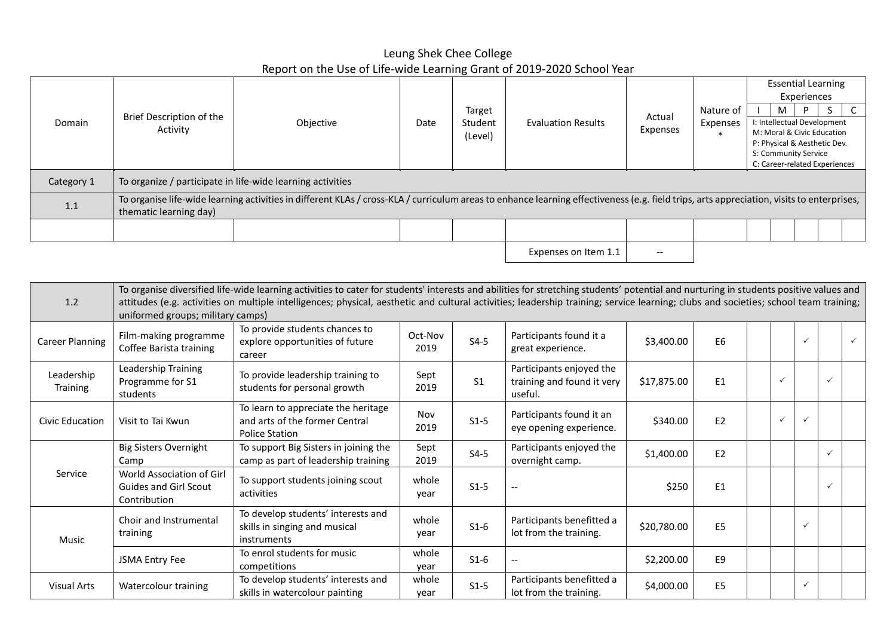## Leung Shek Chee College Report on the Use of Life-wide Learning Grant of 2019-2020 School Year

| Domain     |                                      |                                                                                                                                                                                           |      |                    |                           |                    |                    |                                                           | <b>Essential Learning</b> |  |  |  |
|------------|--------------------------------------|-------------------------------------------------------------------------------------------------------------------------------------------------------------------------------------------|------|--------------------|---------------------------|--------------------|--------------------|-----------------------------------------------------------|---------------------------|--|--|--|
|            |                                      |                                                                                                                                                                                           |      | Target             |                           |                    | Nature of          | м                                                         | Experiences<br>D          |  |  |  |
|            | Brief Description of the<br>Activity | Objective                                                                                                                                                                                 | Date | Student<br>(Level) | <b>Evaluation Results</b> | Actual<br>Expenses | Expenses<br>$\ast$ | I: Intellectual Development<br>M: Moral & Civic Education |                           |  |  |  |
|            |                                      |                                                                                                                                                                                           |      |                    |                           |                    |                    | P: Physical & Aesthetic Dev.                              |                           |  |  |  |
|            |                                      |                                                                                                                                                                                           |      |                    |                           |                    |                    | S: Community Service                                      |                           |  |  |  |
|            |                                      |                                                                                                                                                                                           |      |                    |                           |                    |                    | C: Career-related Experiences                             |                           |  |  |  |
| Category 1 |                                      | To organize / participate in life-wide learning activities                                                                                                                                |      |                    |                           |                    |                    |                                                           |                           |  |  |  |
| 1.1        | thematic learning day)               | To organise life-wide learning activities in different KLAs / cross-KLA / curriculum areas to enhance learning effectiveness (e.g. field trips, arts appreciation, visits to enterprises, |      |                    |                           |                    |                    |                                                           |                           |  |  |  |
|            |                                      |                                                                                                                                                                                           |      |                    |                           |                    |                    |                                                           |                           |  |  |  |
|            |                                      |                                                                                                                                                                                           |      |                    |                           |                    |                    |                                                           |                           |  |  |  |

Expenses on Item  $1.1$   $-$ 

| 1.2                    | To organise diversified life-wide learning activities to cater for students' interests and abilities for stretching students' potential and nurturing in students positive values and<br>attitudes (e.g. activities on multiple intelligences; physical, aesthetic and cultural activities; leadership training; service learning; clubs and societies; school team training;<br>uniformed groups; military camps) |                                                                                                |                 |                |                                                                   |             |                |  |              |              |              |              |
|------------------------|--------------------------------------------------------------------------------------------------------------------------------------------------------------------------------------------------------------------------------------------------------------------------------------------------------------------------------------------------------------------------------------------------------------------|------------------------------------------------------------------------------------------------|-----------------|----------------|-------------------------------------------------------------------|-------------|----------------|--|--------------|--------------|--------------|--------------|
| Career Planning        | Film-making programme<br>Coffee Barista training                                                                                                                                                                                                                                                                                                                                                                   | To provide students chances to<br>explore opportunities of future<br>career                    | Oct-Nov<br>2019 | $S4-5$         | Participants found it a<br>great experience.                      | \$3,400.00  | E <sub>6</sub> |  |              | $\checkmark$ |              | $\checkmark$ |
| Leadership<br>Training | Leadership Training<br>Programme for S1<br>students                                                                                                                                                                                                                                                                                                                                                                | To provide leadership training to<br>students for personal growth                              | Sept<br>2019    | S <sub>1</sub> | Participants enjoyed the<br>training and found it very<br>useful. | \$17,875.00 | E <sub>1</sub> |  | $\checkmark$ |              | $\checkmark$ |              |
| <b>Civic Education</b> | Visit to Tai Kwun                                                                                                                                                                                                                                                                                                                                                                                                  | To learn to appreciate the heritage<br>and arts of the former Central<br><b>Police Station</b> | Nov<br>2019     | $S1-5$         | Participants found it an<br>eye opening experience.               | \$340.00    | E2             |  |              | $\checkmark$ |              |              |
|                        | <b>Big Sisters Overnight</b><br>Camp                                                                                                                                                                                                                                                                                                                                                                               | To support Big Sisters in joining the<br>camp as part of leadership training                   | Sept<br>2019    | $S4-5$         | Participants enjoyed the<br>overnight camp.                       | \$1,400.00  | E <sub>2</sub> |  |              |              |              |              |
| Service                | World Association of Girl<br><b>Guides and Girl Scout</b><br>Contribution                                                                                                                                                                                                                                                                                                                                          | To support students joining scout<br>activities                                                | whole<br>year   | $S1-5$         | $\overline{\phantom{a}}$                                          | \$250       | E <sub>1</sub> |  |              |              |              |              |
| Music                  | Choir and Instrumental<br>training                                                                                                                                                                                                                                                                                                                                                                                 | To develop students' interests and<br>skills in singing and musical<br>instruments             | whole<br>year   | $S1-6$         | Participants benefitted a<br>lot from the training.               | \$20,780.00 | E <sub>5</sub> |  |              | $\checkmark$ |              |              |
|                        | JSMA Entry Fee                                                                                                                                                                                                                                                                                                                                                                                                     | To enrol students for music<br>competitions                                                    | whole<br>year   | $S1-6$         | --                                                                | \$2,200.00  | E <sub>9</sub> |  |              |              |              |              |
| <b>Visual Arts</b>     | Watercolour training                                                                                                                                                                                                                                                                                                                                                                                               | To develop students' interests and<br>skills in watercolour painting                           | whole<br>year   | $S1-5$         | Participants benefitted a<br>lot from the training.               | \$4,000.00  | E <sub>5</sub> |  |              | $\checkmark$ |              |              |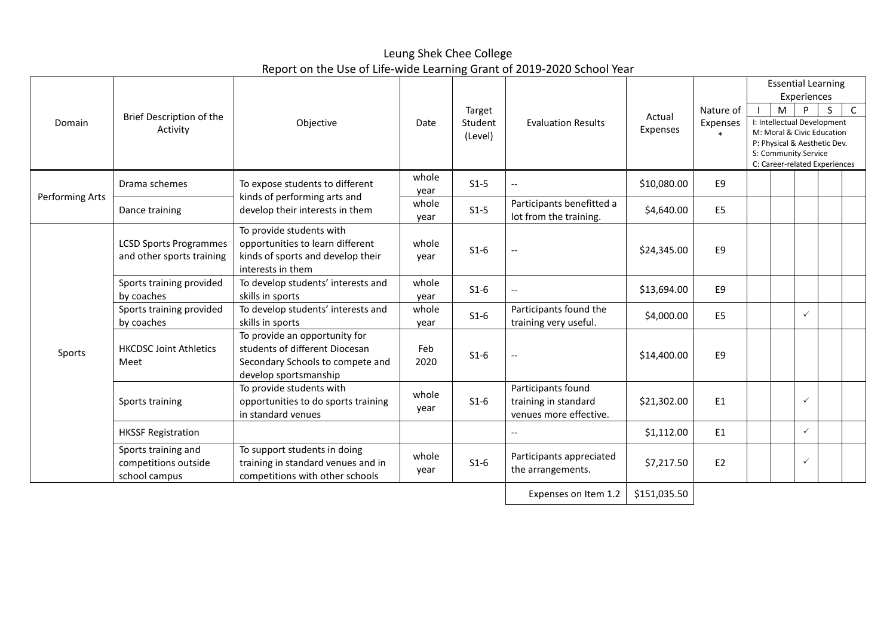Leung Shek Chee College Report on the Use of Life-wide Learning Grant of 2019-2020 School Year

|                 |                                                              |                                                                                                                              |               |                              |                                                                      |                    |                       | <b>Essential Learning</b><br>Experiences                                                                                                                          |  |              |  |              |
|-----------------|--------------------------------------------------------------|------------------------------------------------------------------------------------------------------------------------------|---------------|------------------------------|----------------------------------------------------------------------|--------------------|-----------------------|-------------------------------------------------------------------------------------------------------------------------------------------------------------------|--|--------------|--|--------------|
| Domain          | Brief Description of the<br>Activity                         | Objective                                                                                                                    | Date          | Target<br>Student<br>(Level) | <b>Evaluation Results</b>                                            | Actual<br>Expenses | Nature of<br>Expenses | S<br>M<br>P<br>I: Intellectual Development<br>M: Moral & Civic Education<br>P: Physical & Aesthetic Dev.<br>S: Community Service<br>C: Career-related Experiences |  |              |  | $\mathsf{C}$ |
|                 | Drama schemes                                                | To expose students to different                                                                                              | whole<br>year | $S1-5$                       | $\overline{\phantom{0}}$                                             | \$10,080.00        | E9                    |                                                                                                                                                                   |  |              |  |              |
| Performing Arts | Dance training                                               | kinds of performing arts and<br>develop their interests in them                                                              | whole<br>year | $S1-5$                       | Participants benefitted a<br>lot from the training.                  | \$4,640.00         | E <sub>5</sub>        |                                                                                                                                                                   |  |              |  |              |
|                 | <b>LCSD Sports Programmes</b><br>and other sports training   | To provide students with<br>opportunities to learn different<br>kinds of sports and develop their<br>interests in them       | whole<br>year | $S1-6$                       |                                                                      | \$24,345.00        | E <sub>9</sub>        |                                                                                                                                                                   |  |              |  |              |
|                 | Sports training provided<br>by coaches                       | To develop students' interests and<br>skills in sports                                                                       | whole<br>year | $S1-6$                       | $\overline{\phantom{a}}$                                             | \$13,694.00        | E9                    |                                                                                                                                                                   |  |              |  |              |
|                 | Sports training provided<br>by coaches                       | To develop students' interests and<br>skills in sports                                                                       | whole<br>year | $S1-6$                       | Participants found the<br>training very useful.                      | \$4,000.00         | E <sub>5</sub>        |                                                                                                                                                                   |  | $\checkmark$ |  |              |
| Sports          | <b>HKCDSC Joint Athletics</b><br>Meet                        | To provide an opportunity for<br>students of different Diocesan<br>Secondary Schools to compete and<br>develop sportsmanship | Feb<br>2020   | $S1-6$                       | $- -$                                                                | \$14,400.00        | E9                    |                                                                                                                                                                   |  |              |  |              |
|                 | Sports training                                              | To provide students with<br>opportunities to do sports training<br>in standard venues                                        | whole<br>year | $S1-6$                       | Participants found<br>training in standard<br>venues more effective. | \$21,302.00        | E <sub>1</sub>        |                                                                                                                                                                   |  | $\checkmark$ |  |              |
|                 | <b>HKSSF Registration</b>                                    |                                                                                                                              |               |                              | $-$                                                                  | \$1,112.00         | E1                    |                                                                                                                                                                   |  | $\checkmark$ |  |              |
|                 | Sports training and<br>competitions outside<br>school campus | To support students in doing<br>training in standard venues and in<br>competitions with other schools                        | whole<br>year | $S1-6$                       | Participants appreciated<br>the arrangements.                        | \$7,217.50         | E <sub>2</sub>        |                                                                                                                                                                   |  | $\checkmark$ |  |              |
|                 |                                                              |                                                                                                                              |               |                              | Expenses on Item 1.2                                                 | \$151,035.50       |                       |                                                                                                                                                                   |  |              |  |              |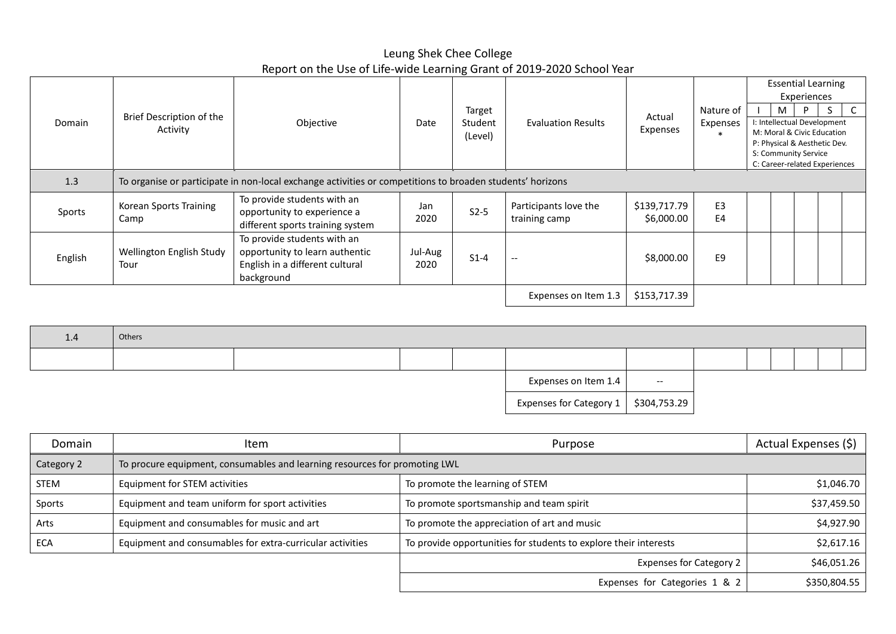Leung Shek Chee College Report on the Use of Life-wide Learning Grant of 2019-2020 School Year

|         |                          |                                                                                                           |                 |                    |                           |              |                    |                                                      |                                                           | <b>Essential Learning</b><br>Experiences |  |  |
|---------|--------------------------|-----------------------------------------------------------------------------------------------------------|-----------------|--------------------|---------------------------|--------------|--------------------|------------------------------------------------------|-----------------------------------------------------------|------------------------------------------|--|--|
|         | Brief Description of the |                                                                                                           |                 | Target             | <b>Evaluation Results</b> | Actual       | Nature of          |                                                      | M                                                         | D                                        |  |  |
| Domain  | Activity                 | Objective                                                                                                 | Date            | Student<br>(Level) |                           | Expenses     | Expenses<br>$\ast$ |                                                      | I: Intellectual Development<br>M: Moral & Civic Education |                                          |  |  |
|         |                          |                                                                                                           |                 |                    |                           |              |                    | P: Physical & Aesthetic Dev.<br>S: Community Service |                                                           |                                          |  |  |
|         |                          |                                                                                                           |                 |                    |                           |              |                    |                                                      |                                                           | C: Career-related Experiences            |  |  |
| 1.3     |                          | To organise or participate in non-local exchange activities or competitions to broaden students' horizons |                 |                    |                           |              |                    |                                                      |                                                           |                                          |  |  |
|         | Korean Sports Training   | To provide students with an                                                                               | Jan             |                    | Participants love the     | \$139,717.79 | E <sub>3</sub>     |                                                      |                                                           |                                          |  |  |
| Sports  | Camp                     | opportunity to experience a<br>different sports training system                                           | 2020            | $S2-5$             | training camp             | \$6,000.00   | E4                 |                                                      |                                                           |                                          |  |  |
|         |                          | To provide students with an                                                                               |                 |                    |                           |              |                    |                                                      |                                                           |                                          |  |  |
| English | Tour                     | opportunity to learn authentic<br>Wellington English Study<br>English in a different cultural             | Jul-Aug<br>2020 | $S1-4$             | $\overline{\phantom{a}}$  | \$8,000.00   | E <sub>9</sub>     |                                                      |                                                           |                                          |  |  |
|         |                          | background                                                                                                |                 |                    |                           |              |                    |                                                      |                                                           |                                          |  |  |
|         |                          |                                                                                                           |                 |                    | Expenses on Item 1.3      | \$153,717.39 |                    |                                                      |                                                           |                                          |  |  |

| 1.4 | Others |  |                                            |                          |  |  |  |
|-----|--------|--|--------------------------------------------|--------------------------|--|--|--|
|     |        |  |                                            |                          |  |  |  |
|     |        |  | Expenses on Item 1.4                       | $\overline{\phantom{a}}$ |  |  |  |
|     |        |  | Expenses for Category $1 \mid $304,753.29$ |                          |  |  |  |

| Domain      | Item                                                                       | Purpose                                                          | Actual Expenses (\$) |
|-------------|----------------------------------------------------------------------------|------------------------------------------------------------------|----------------------|
| Category 2  | To procure equipment, consumables and learning resources for promoting LWL |                                                                  |                      |
| <b>STEM</b> | Equipment for STEM activities                                              | To promote the learning of STEM                                  | \$1,046.70           |
| Sports      | Equipment and team uniform for sport activities                            | To promote sportsmanship and team spirit                         | \$37,459.50          |
| Arts        | Equipment and consumables for music and art                                | To promote the appreciation of art and music                     | \$4,927.90           |
| <b>ECA</b>  | Equipment and consumables for extra-curricular activities                  | To provide opportunities for students to explore their interests | \$2,617.16           |
|             |                                                                            | <b>Expenses for Category 2</b>                                   | \$46,051.26          |
|             |                                                                            | Expenses for Categories 1 & 2                                    | \$350,804.55         |